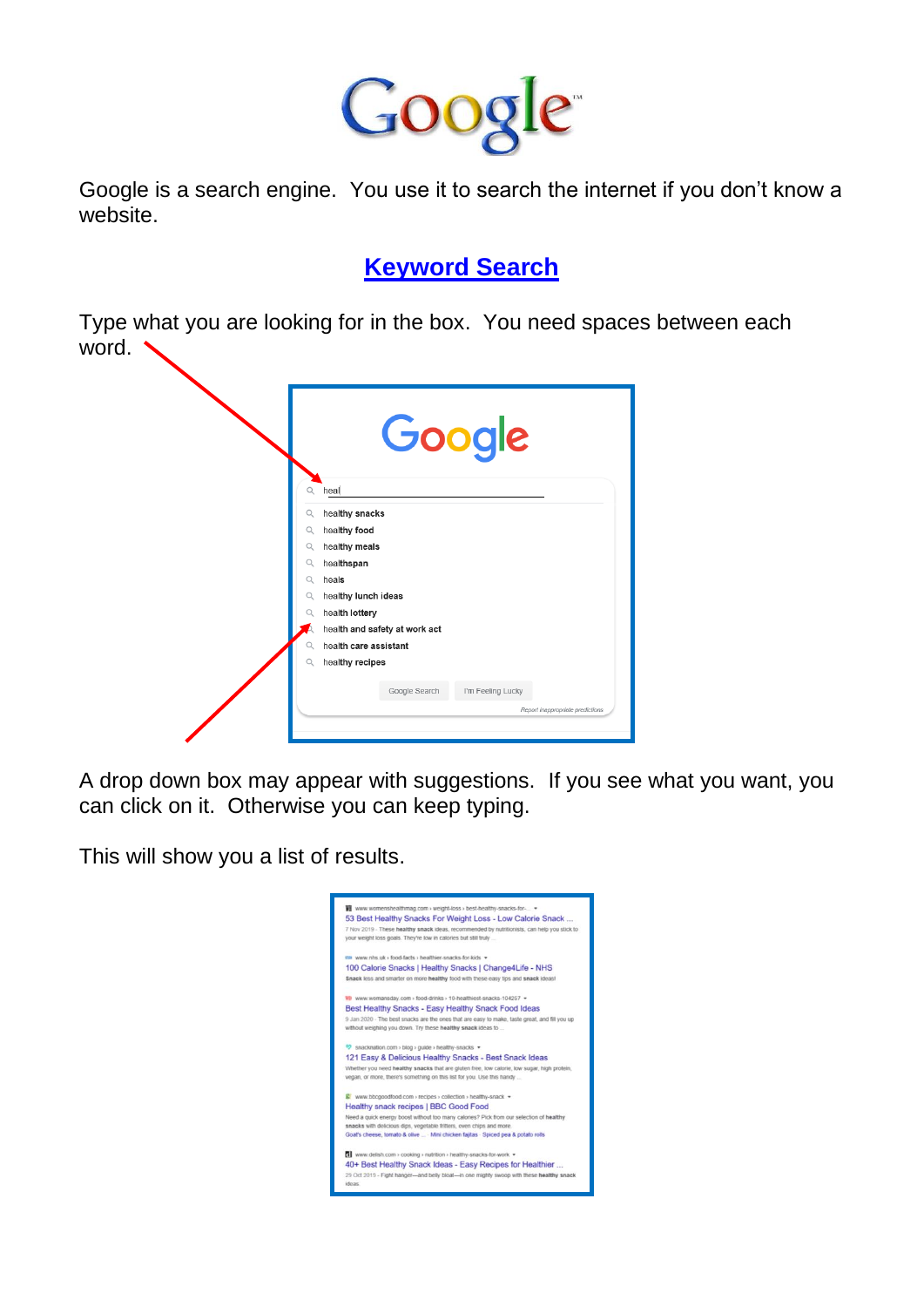

Google is a search engine. You use it to search the internet if you don't know a website.

## **Keyword Search**

Type what you are looking for in the box. You need spaces between each word.



A drop down box may appear with suggestions. If you see what you want, you can click on it. Otherwise you can keep typing.

This will show you a list of results.

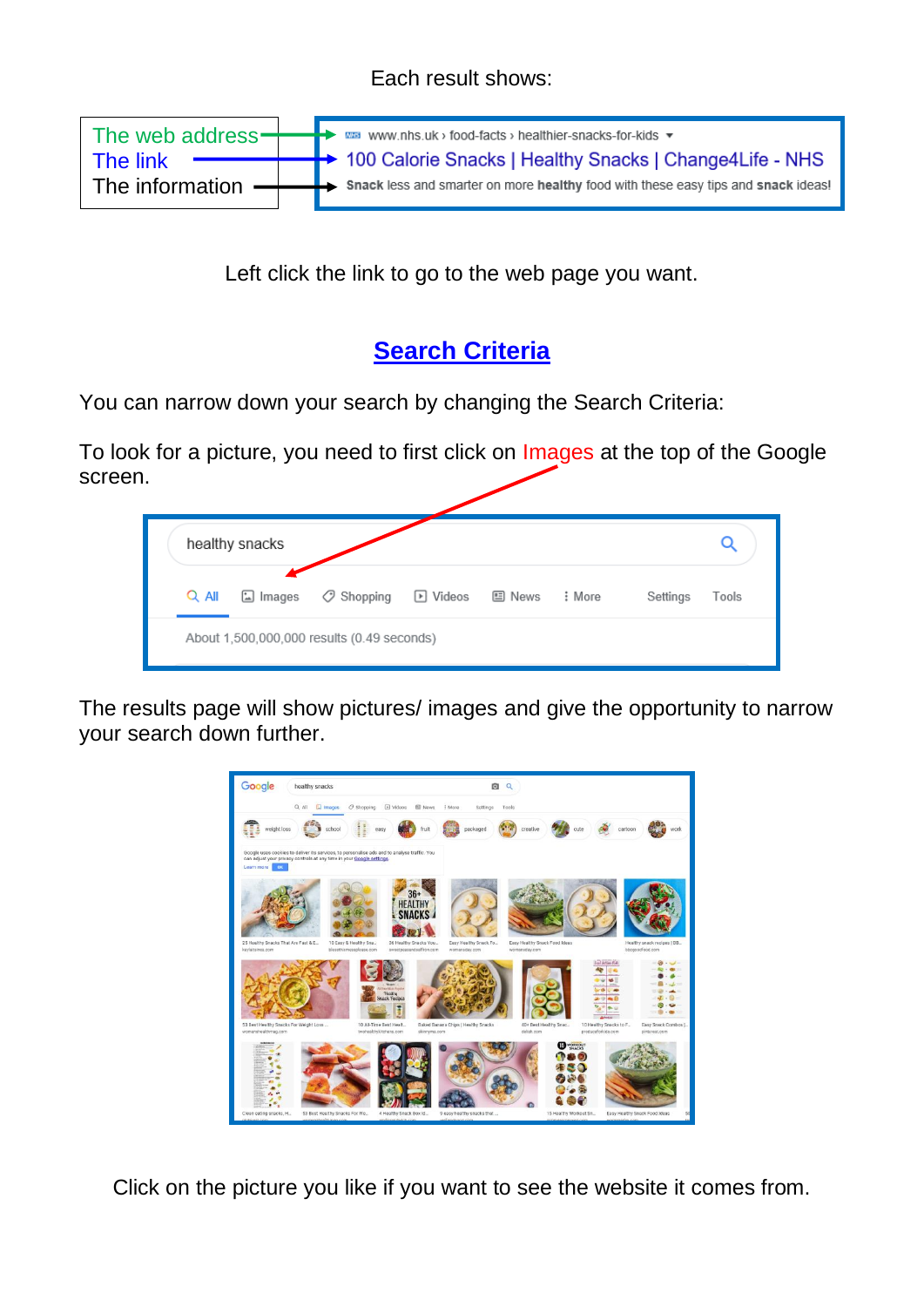## Each result shows:

|                               |  | The web address - www.nhs.uk > food-facts > healthier-snacks-for-kids $\star$                   |
|-------------------------------|--|-------------------------------------------------------------------------------------------------|
|                               |  |                                                                                                 |
| The link                      |  | - 100 Calorie Snacks   Healthy Snacks   Change4Life - NHS                                       |
| The information $\rightarrow$ |  | $\rightarrow$ Snack less and smarter on more healthy food with these easy tips and snack ideas! |
|                               |  |                                                                                                 |

Left click the link to go to the web page you want.

## **Search Criteria**

You can narrow down your search by changing the Search Criteria:

To look for a picture, you need to first click on Images at the top of the Google screen.

|         | healthy snacks |                    |                  |        |        |          |       |
|---------|----------------|--------------------|------------------|--------|--------|----------|-------|
| $Q$ All | $\Box$ Images  | $\oslash$ Shopping | $\boxdot$ Videos | 国 News | : More | Settings | Tools |

The results page will show pictures/ images and give the opportunity to narrow your search down further.



Click on the picture you like if you want to see the website it comes from.